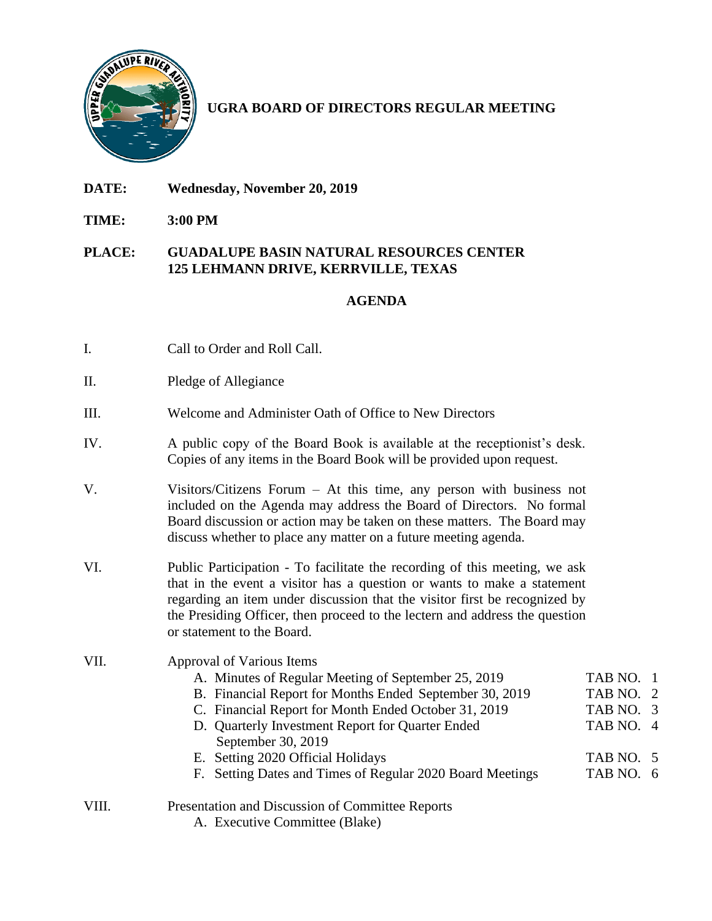

**UGRA BOARD OF DIRECTORS REGULAR MEETING**

- **DATE: Wednesday, November 20, 2019**
- **TIME: 3:00 PM**

## **PLACE: GUADALUPE BASIN NATURAL RESOURCES CENTER 125 LEHMANN DRIVE, KERRVILLE, TEXAS**

## **AGENDA**

- I. Call to Order and Roll Call.
- II. Pledge of Allegiance
- III. Welcome and Administer Oath of Office to New Directors
- IV. A public copy of the Board Book is available at the receptionist's desk. Copies of any items in the Board Book will be provided upon request.
- V. Visitors/Citizens Forum At this time, any person with business not included on the Agenda may address the Board of Directors. No formal Board discussion or action may be taken on these matters. The Board may discuss whether to place any matter on a future meeting agenda.
- VI. Public Participation To facilitate the recording of this meeting, we ask that in the event a visitor has a question or wants to make a statement regarding an item under discussion that the visitor first be recognized by the Presiding Officer, then proceed to the lectern and address the question or statement to the Board.

## VII. Approval of Various Items

- A. Minutes of Regular Meeting of September 25, 2019 TAB NO. 1
- B. Financial Report for Months Ended September 30, 2019 TAB NO. 2
- C. Financial Report for Month Ended October 31, 2019 TAB NO. 3
- D. Quarterly Investment Report for Quarter Ended TAB NO. 4
- September 30, 2019 E. Setting 2020 Official Holidays TAB NO. 5
- F. Setting Dates and Times of Regular 2020 Board Meetings TAB NO. 6
- VIII. Presentation and Discussion of Committee Reports
	- A. Executive Committee (Blake)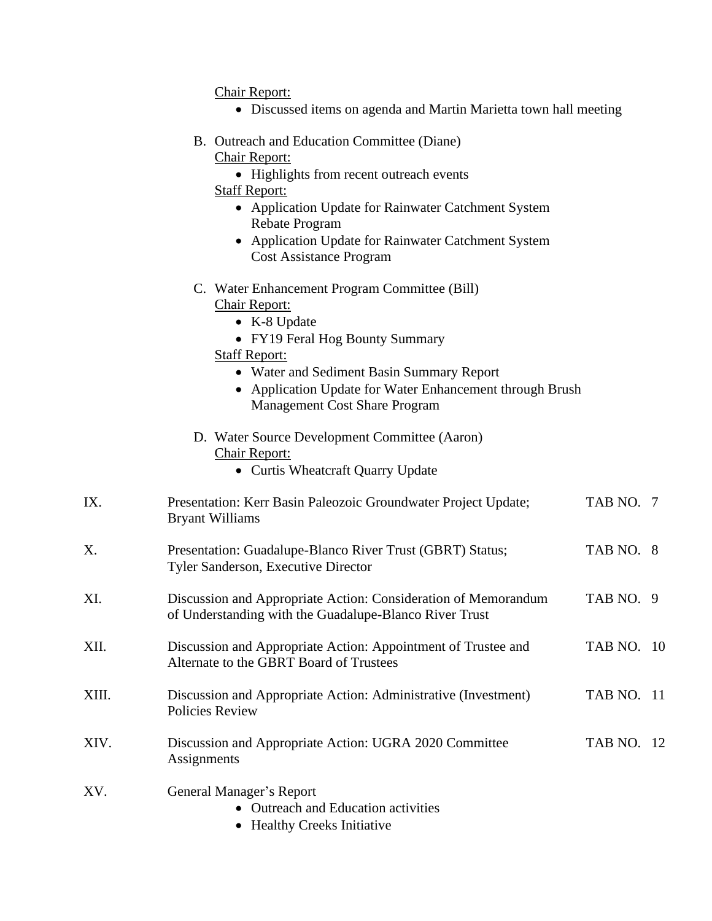Chair Report:

- Discussed items on agenda and Martin Marietta town hall meeting
- B. Outreach and Education Committee (Diane) Chair Report:
	- Highlights from recent outreach events
	- Staff Report:
		- Application Update for Rainwater Catchment System Rebate Program
		- Application Update for Rainwater Catchment System Cost Assistance Program
- C. Water Enhancement Program Committee (Bill)

## Chair Report:

- K-8 Update
- FY19 Feral Hog Bounty Summary

Staff Report:

- Water and Sediment Basin Summary Report
- Application Update for Water Enhancement through Brush Management Cost Share Program
- D. Water Source Development Committee (Aaron) Chair Report:
	- Curtis Wheatcraft Ouarry Update
- IX. Presentation: Kerr Basin Paleozoic Groundwater Project Update; TAB NO. 7 Bryant Williams X. Presentation: Guadalupe-Blanco River Trust (GBRT) Status; TAB NO. 8 Tyler Sanderson, Executive Director XI. Discussion and Appropriate Action: Consideration of Memorandum TAB NO. 9 of Understanding with the Guadalupe-Blanco River Trust
- XII. Discussion and Appropriate Action: Appointment of Trustee and TAB NO. 10 Alternate to the GBRT Board of Trustees
- XIII. Discussion and Appropriate Action: Administrative (Investment) TAB NO. 11 Policies Review
- XIV. Discussion and Appropriate Action: UGRA 2020 Committee TAB NO. 12 Assignments
- XV. General Manager's Report
	- Outreach and Education activities
	- Healthy Creeks Initiative